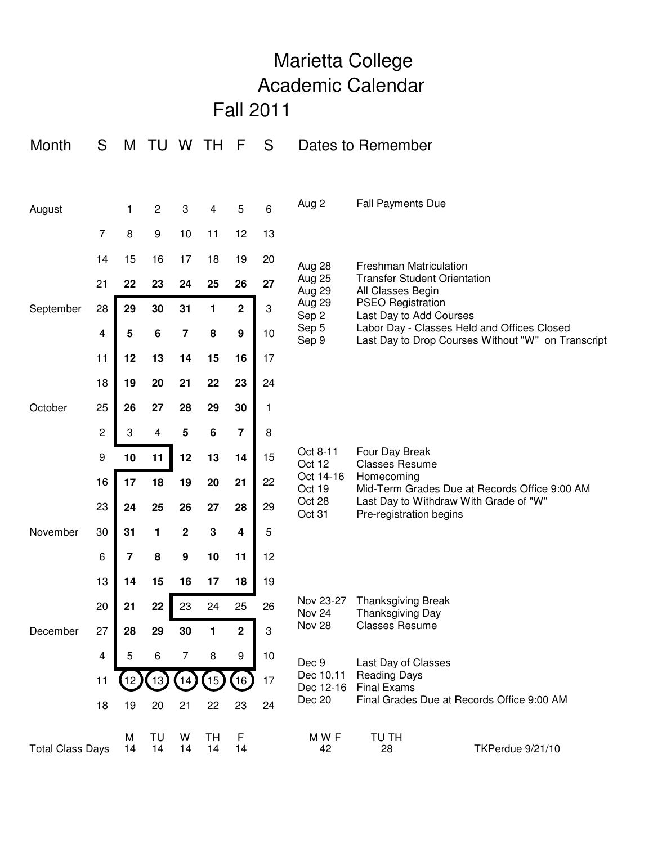|                          |                                                                                                                                                                                                                | Marietta College         |                 |                  |                 |         |                     |                                         |                                                                                                                                                                             |                  |  |
|--------------------------|----------------------------------------------------------------------------------------------------------------------------------------------------------------------------------------------------------------|--------------------------|-----------------|------------------|-----------------|---------|---------------------|-----------------------------------------|-----------------------------------------------------------------------------------------------------------------------------------------------------------------------------|------------------|--|
|                          |                                                                                                                                                                                                                | <b>Academic Calendar</b> |                 |                  |                 |         |                     |                                         |                                                                                                                                                                             |                  |  |
|                          |                                                                                                                                                                                                                |                          |                 |                  |                 |         | <b>Fall 2011</b>    |                                         |                                                                                                                                                                             |                  |  |
| Month                    | S                                                                                                                                                                                                              |                          | M TU W          |                  | TH.             | F       | S                   |                                         | Dates to Remember                                                                                                                                                           |                  |  |
|                          |                                                                                                                                                                                                                |                          |                 |                  |                 |         |                     |                                         |                                                                                                                                                                             |                  |  |
| August                   |                                                                                                                                                                                                                | $\mathbf{1}$             | $\overline{c}$  | 3                | 4               | 5       | 6                   | Aug 2                                   | <b>Fall Payments Due</b>                                                                                                                                                    |                  |  |
|                          | $\overline{7}$                                                                                                                                                                                                 | 8                        | 9               | 10               | 11              | 12      | 13                  |                                         |                                                                                                                                                                             |                  |  |
|                          | 14                                                                                                                                                                                                             | 15                       | 16              | 17               | 18              | 19      | 20                  | Aug 28                                  | <b>Freshman Matriculation</b><br><b>Transfer Student Orientation</b><br>All Classes Begin                                                                                   |                  |  |
|                          | 21                                                                                                                                                                                                             | 22                       | 23              | 24               | 25              | 26      | 27                  | <b>Aug 25</b><br>Aug 29                 |                                                                                                                                                                             |                  |  |
| September                | Aug 29<br><b>PSEO Registration</b><br>$\overline{\mathbf{2}}$<br>29<br>30<br>31<br>$\sqrt{3}$<br>28<br>1<br>Sep 2<br>Last Day to Add Courses                                                                   |                          |                 |                  |                 |         |                     |                                         |                                                                                                                                                                             |                  |  |
|                          | 4                                                                                                                                                                                                              | 5                        | $6\phantom{1}6$ | $\overline{7}$   | 8               | 9       | 10                  | Sep 5<br>Sep 9                          | Labor Day - Classes Held and Offices Closed<br>Last Day to Drop Courses Without "W" on Transcript                                                                           |                  |  |
|                          | 11                                                                                                                                                                                                             | 12                       | 13              | 14               | 15              | 16      | 17                  |                                         |                                                                                                                                                                             |                  |  |
|                          | 18                                                                                                                                                                                                             | 19                       | 20              | 21               | 22              | 23      | 24                  |                                         |                                                                                                                                                                             |                  |  |
| October                  | 25                                                                                                                                                                                                             | 26                       | 27              | 28               | 29              | 30      | 1                   |                                         |                                                                                                                                                                             |                  |  |
|                          | 2                                                                                                                                                                                                              | 3                        | 4               | 5                | 6               | 7       | 8                   |                                         | Four Day Break<br><b>Classes Resume</b><br>Homecoming<br>Mid-Term Grades Due at Records Office 9:00 AM<br>Last Day to Withdraw With Grade of "W"<br>Pre-registration begins |                  |  |
|                          | 9                                                                                                                                                                                                              | 10                       | 11              | 12               | 13              | 14      | 15                  | Oct 8-11<br>Oct 12                      |                                                                                                                                                                             |                  |  |
|                          | 16                                                                                                                                                                                                             | 17                       | 18              | 19               | 20              | 21      | 22                  | Oct 14-16<br>Oct 19                     |                                                                                                                                                                             |                  |  |
|                          | 23                                                                                                                                                                                                             | 24                       | 25              | 26               | 27              | 28      | 29                  | Oct 28<br>Oct 31                        |                                                                                                                                                                             |                  |  |
| November                 | 30                                                                                                                                                                                                             | 31                       | 1               | 2                | З               | 4       | 5                   |                                         |                                                                                                                                                                             |                  |  |
|                          | 6                                                                                                                                                                                                              | $\overline{7}$           | 8               | $\boldsymbol{9}$ | 10              | 11      | 12                  |                                         |                                                                                                                                                                             |                  |  |
|                          | 13                                                                                                                                                                                                             | 14                       | 15              | 16               | 17              | 18      | 19                  |                                         |                                                                                                                                                                             |                  |  |
|                          | Nov 23-27<br><b>Thanksgiving Break</b><br>20<br>22<br>23<br>24<br>25<br>26<br>21<br>Nov 24<br>Thanksgiving Day<br>Nov 28<br><b>Classes Resume</b><br>$\mathbf{3}$<br>29<br>30<br>$\mathbf 2$<br>27<br>28<br>1. |                          |                 |                  |                 |         |                     |                                         |                                                                                                                                                                             |                  |  |
| December                 |                                                                                                                                                                                                                |                          |                 |                  |                 |         |                     |                                         |                                                                                                                                                                             |                  |  |
| 4<br>5<br>11<br>18<br>19 | 6                                                                                                                                                                                                              | 7                        | 8               | 9                | 10              | Dec 9   | Last Day of Classes |                                         |                                                                                                                                                                             |                  |  |
|                          |                                                                                                                                                                                                                |                          | 13 <sub>l</sub> | 14               | 15 <sub>l</sub> | 16      | 17                  | Dec 10,11<br>Dec 12-16<br><b>Dec 20</b> | <b>Reading Days</b><br><b>Final Exams</b><br>Final Grades Due at Records Office 9:00 AM                                                                                     |                  |  |
|                          |                                                                                                                                                                                                                |                          | 20              | 21               | 22              | 23      | 24                  |                                         |                                                                                                                                                                             |                  |  |
| <b>Total Class Days</b>  |                                                                                                                                                                                                                | M<br>14                  | TU<br>14        | W<br>14          | TH<br>14        | F<br>14 |                     | MWF<br>42                               | TU TH<br>28                                                                                                                                                                 | TKPerdue 9/21/10 |  |